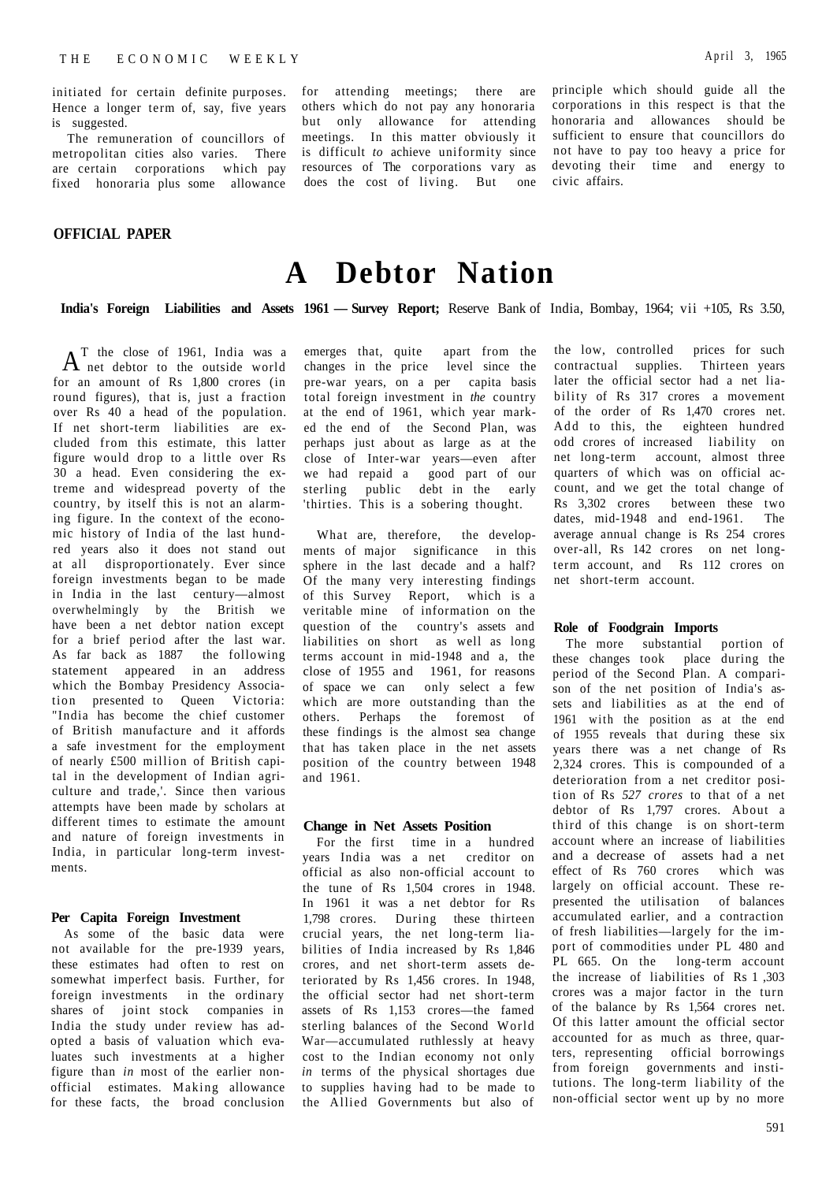initiated for certain definite purposes. Hence a longer term of, say, five years is suggested.

The remuneration of councillors of metropolitan cities also varies. There are certain corporations which pay fixed honoraria plus some allowance

## **OFFICIAL PAPER**

for attending meetings; there are others which do not pay any honoraria but only allowance for attending meetings. In this matter obviously it is difficult *to* achieve uniformity since resources of The corporations vary as does the cost of living. But one principle which should guide all the corporations in this respect is that the honoraria and allowances should be sufficient to ensure that councillors do not have to pay too heavy a price for devoting their time and energy to civic affairs.

# **A Debtor Nation**

**India's Foreign Liabilities and Assets 1961 — Survey Report;** Reserve Bank of India, Bombay, 1964; vii +105, Rs 3.50,

 $A$  net debtor to the outside world T the close of 1961, India was a for an amount of Rs 1,800 crores (in round figures), that is, just a fraction over Rs 40 a head of the population. If net short-term liabilities are excluded from this estimate, this latter figure would drop to a little over Rs 30 a head. Even considering the extreme and widespread poverty of the country, by itself this is not an alarming figure. In the context of the economic history of India of the last hundred years also it does not stand out at all disproportionately. Ever since foreign investments began to be made in India in the last century—almost overwhelmingly by the British we have been a net debtor nation except for a brief period after the last war. As far back as 1887 the following statement appeared in an address which the Bombay Presidency Association presented to Queen Victoria: "India has become the chief customer of British manufacture and it affords a safe investment for the employment of nearly £500 million of British capital in the development of Indian agriculture and trade,'. Since then various attempts have been made by scholars at different times to estimate the amount and nature of foreign investments in India, in particular long-term investments.

## **Per Capita Foreign Investment**

As some of the basic data were not available for the pre-1939 years, these estimates had often to rest on somewhat imperfect basis. Further, for foreign investments in the ordinary shares of joint stock companies in India the study under review has adopted a basis of valuation which evaluates such investments at a higher figure than *in* most of the earlier nonofficial estimates. Making allowance for these facts, the broad conclusion emerges that, quite apart from the changes in the price level since the pre-war years, on a per capita basis total foreign investment in *the* country at the end of 1961, which year marked the end of the Second Plan, was perhaps just about as large as at the close of Inter-war years—even after we had repaid a good part of our sterling public debt in the early 'thirties. This is a sobering thought.

What are, therefore, the developments of major significance in this sphere in the last decade and a half? Of the many very interesting findings of this Survey Report, which is a veritable mine of information on the question of the country's assets and liabilities on short as well as long terms account in mid-1948 and a, the close of 1955 and 1961, for reasons of space we can only select a few which are more outstanding than the others. Perhaps the foremost of these findings is the almost sea change that has taken place in the net assets position of the country between 1948 and 1961.

#### **Change in Net Assets Position**

For the first time in a hundred years India was a net creditor on official as also non-official account to the tune of Rs 1,504 crores in 1948. In 1961 it was a net debtor for Rs 1,798 crores. During these thirteen crucial years, the net long-term liabilities of India increased by Rs 1,846 crores, and net short-term assets deteriorated by Rs 1,456 crores. In 1948, the official sector had net short-term assets of Rs 1,153 crores—the famed sterling balances of the Second World War—accumulated ruthlessly at heavy cost to the Indian economy not only *in* terms of the physical shortages due to supplies having had to be made to the Allied Governments but also of

the low, controlled prices for such contractual supplies. Thirteen years later the official sector had a net liability of Rs 317 crores a movement of the order of Rs 1,470 crores net. Add to this, the eighteen hundred odd crores of increased liability on net long-term account, almost three quarters of which was on official account, and we get the total change of Rs 3,302 crores between these two dates, mid-1948 and end-1961. The average annual change is Rs 254 crores over-all, Rs 142 crores on net longterm account, and Rs 112 crores on net short-term account.

## **Role of Foodgrain Imports**

The more substantial portion of these changes took place during the period of the Second Plan. A comparison of the net position of India's assets and liabilities as at the end of 1961 with the position as at the end of 1955 reveals that during these six years there was a net change of Rs 2,324 crores. This is compounded of a deterioration from a net creditor position of Rs *527 crores* to that of a net debtor of Rs 1,797 crores. About a third of this change is on short-term account where an increase of liabilities and a decrease of assets had a net effect of Rs 760 crores which was largely on official account. These represented the utilisation of balances accumulated earlier, and a contraction of fresh liabilities—largely for the import of commodities under PL 480 and PL 665. On the long-term account the increase of liabilities of Rs 1 ,303 crores was a major factor in the turn of the balance by Rs 1,564 crores net. Of this latter amount the official sector accounted for as much as three, quarters, representing official borrowings from foreign governments and institutions. The long-term liability of the non-official sector went up by no more